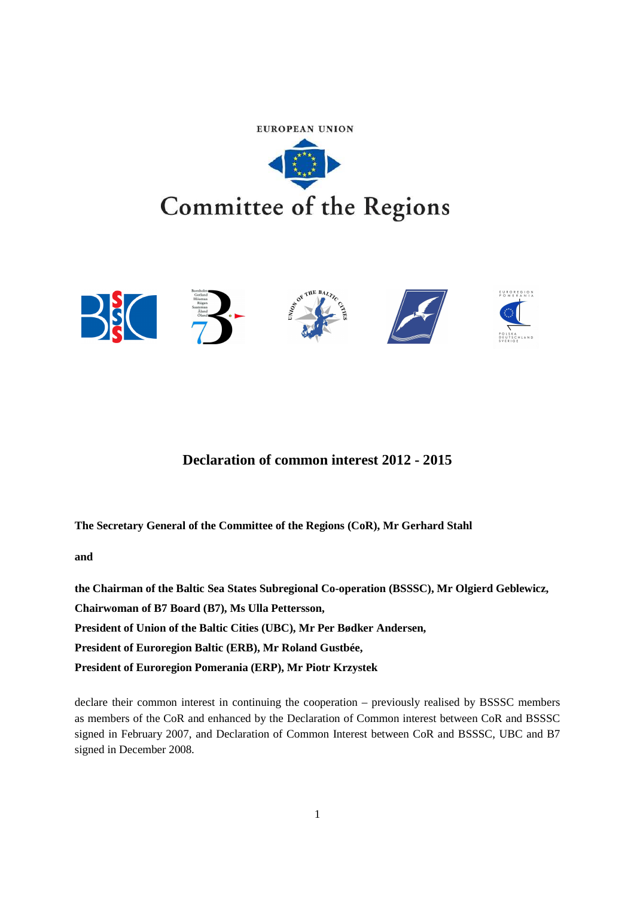



# **Declaration of common interest 2012 - 2015**

**The Secretary General of the Committee of the Regions (CoR), Mr Gerhard Stahl** 

**and** 

**the Chairman of the Baltic Sea States Subregional Co-operation (BSSSC), Mr Olgierd Geblewicz,** 

**Chairwoman of B7 Board (B7), Ms Ulla Pettersson,** 

**President of Union of the Baltic Cities (UBC), Mr Per Bødker Andersen,** 

**President of Euroregion Baltic (ERB), Mr Roland Gustbée,** 

**President of Euroregion Pomerania (ERP), Mr Piotr Krzystek** 

declare their common interest in continuing the cooperation – previously realised by BSSSC members as members of the CoR and enhanced by the Declaration of Common interest between CoR and BSSSC signed in February 2007, and Declaration of Common Interest between CoR and BSSSC, UBC and B7 signed in December 2008.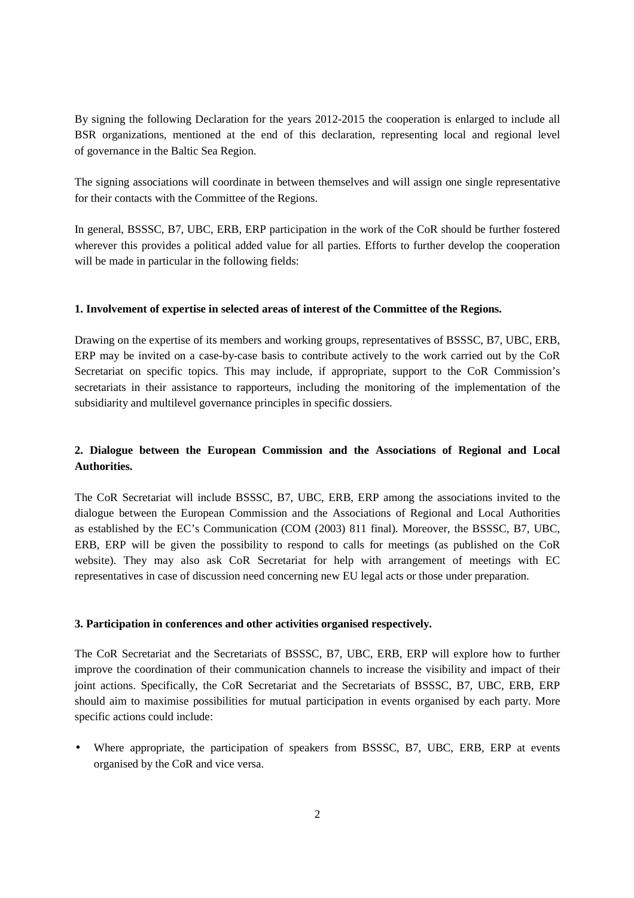By signing the following Declaration for the years 2012-2015 the cooperation is enlarged to include all BSR organizations, mentioned at the end of this declaration, representing local and regional level of governance in the Baltic Sea Region.

The signing associations will coordinate in between themselves and will assign one single representative for their contacts with the Committee of the Regions.

In general, BSSSC, B7, UBC, ERB, ERP participation in the work of the CoR should be further fostered wherever this provides a political added value for all parties. Efforts to further develop the cooperation will be made in particular in the following fields:

# **1. Involvement of expertise in selected areas of interest of the Committee of the Regions.**

Drawing on the expertise of its members and working groups, representatives of BSSSC, B7, UBC, ERB, ERP may be invited on a case-by-case basis to contribute actively to the work carried out by the CoR Secretariat on specific topics. This may include, if appropriate, support to the CoR Commission's secretariats in their assistance to rapporteurs, including the monitoring of the implementation of the subsidiarity and multilevel governance principles in specific dossiers.

# **2. Dialogue between the European Commission and the Associations of Regional and Local Authorities.**

The CoR Secretariat will include BSSSC, B7, UBC, ERB, ERP among the associations invited to the dialogue between the European Commission and the Associations of Regional and Local Authorities as established by the EC's Communication (COM (2003) 811 final). Moreover, the BSSSC, B7, UBC, ERB, ERP will be given the possibility to respond to calls for meetings (as published on the CoR website). They may also ask CoR Secretariat for help with arrangement of meetings with EC representatives in case of discussion need concerning new EU legal acts or those under preparation.

# **3. Participation in conferences and other activities organised respectively.**

The CoR Secretariat and the Secretariats of BSSSC, B7, UBC, ERB, ERP will explore how to further improve the coordination of their communication channels to increase the visibility and impact of their joint actions. Specifically, the CoR Secretariat and the Secretariats of BSSSC, B7, UBC, ERB, ERP should aim to maximise possibilities for mutual participation in events organised by each party. More specific actions could include:

• Where appropriate, the participation of speakers from BSSSC, B7, UBC, ERB, ERP at events organised by the CoR and vice versa.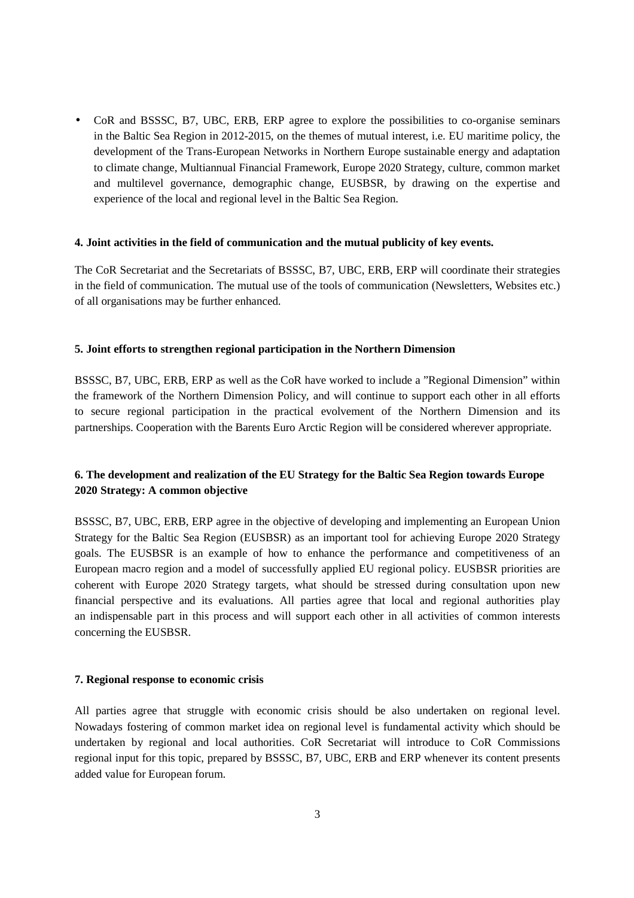• CoR and BSSSC, B7, UBC, ERB, ERP agree to explore the possibilities to co-organise seminars in the Baltic Sea Region in 2012-2015, on the themes of mutual interest, i.e. EU maritime policy, the development of the Trans-European Networks in Northern Europe sustainable energy and adaptation to climate change, Multiannual Financial Framework, Europe 2020 Strategy, culture, common market and multilevel governance, demographic change, EUSBSR, by drawing on the expertise and experience of the local and regional level in the Baltic Sea Region.

### **4. Joint activities in the field of communication and the mutual publicity of key events.**

The CoR Secretariat and the Secretariats of BSSSC, B7, UBC, ERB, ERP will coordinate their strategies in the field of communication. The mutual use of the tools of communication (Newsletters, Websites etc.) of all organisations may be further enhanced.

### **5. Joint efforts to strengthen regional participation in the Northern Dimension**

BSSSC, B7, UBC, ERB, ERP as well as the CoR have worked to include a "Regional Dimension" within the framework of the Northern Dimension Policy, and will continue to support each other in all efforts to secure regional participation in the practical evolvement of the Northern Dimension and its partnerships. Cooperation with the Barents Euro Arctic Region will be considered wherever appropriate.

# **6. The development and realization of the EU Strategy for the Baltic Sea Region towards Europe 2020 Strategy: A common objective**

BSSSC, B7, UBC, ERB, ERP agree in the objective of developing and implementing an European Union Strategy for the Baltic Sea Region (EUSBSR) as an important tool for achieving Europe 2020 Strategy goals. The EUSBSR is an example of how to enhance the performance and competitiveness of an European macro region and a model of successfully applied EU regional policy. EUSBSR priorities are coherent with Europe 2020 Strategy targets, what should be stressed during consultation upon new financial perspective and its evaluations. All parties agree that local and regional authorities play an indispensable part in this process and will support each other in all activities of common interests concerning the EUSBSR.

### **7. Regional response to economic crisis**

All parties agree that struggle with economic crisis should be also undertaken on regional level. Nowadays fostering of common market idea on regional level is fundamental activity which should be undertaken by regional and local authorities. CoR Secretariat will introduce to CoR Commissions regional input for this topic, prepared by BSSSC, B7, UBC, ERB and ERP whenever its content presents added value for European forum.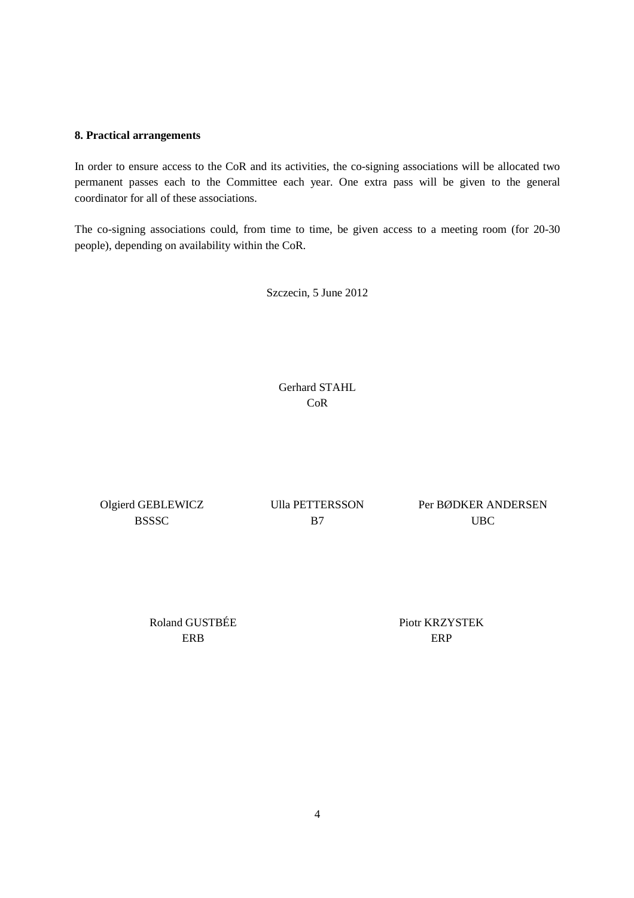# **8. Practical arrangements**

In order to ensure access to the CoR and its activities, the co-signing associations will be allocated two permanent passes each to the Committee each year. One extra pass will be given to the general coordinator for all of these associations.

The co-signing associations could, from time to time, be given access to a meeting room (for 20-30 people), depending on availability within the CoR.

Szczecin, 5 June 2012

Gerhard STAHL CoR

Olgierd GEBLEWICZ **BSSSC** 

Ulla PETTERSSON B7

Per BØDKER ANDERSEN UBC

Roland GUSTBÉE ERB

Piotr KRZYSTEK ERP